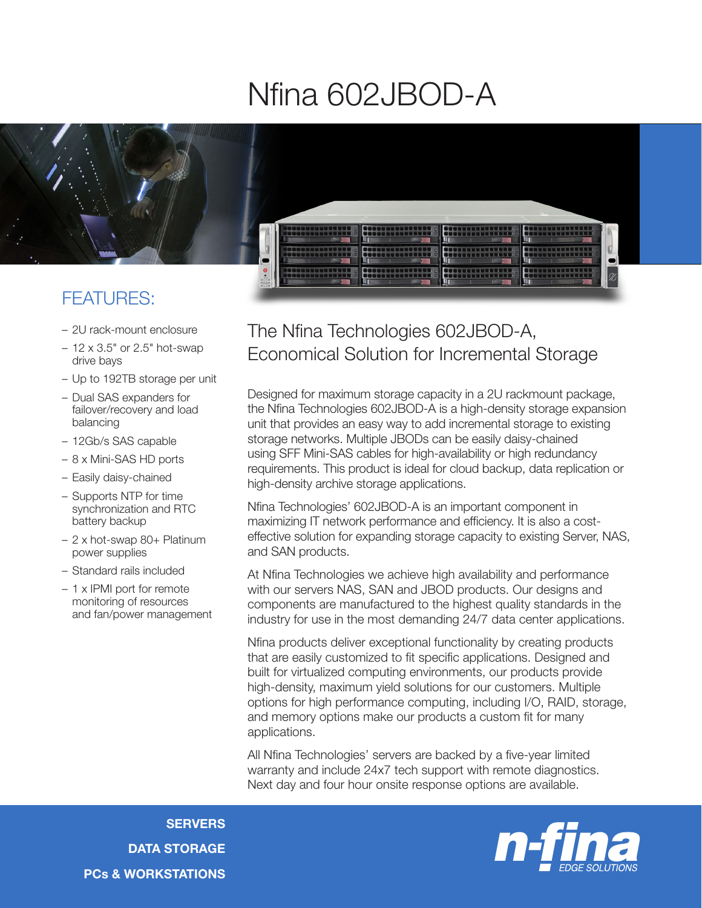## Nfina 602JBOD-A



## FEATURES:

- 2U rack-mount enclosure
- 12 x 3.5" or 2.5" hot-swap drive bays
- Up to 192TB storage per unit
- Dual SAS expanders for failover/recovery and load balancing
- 12Gb/s SAS capable
- 8 x Mini-SAS HD ports
- Easily daisy-chained
- Supports NTP for time synchronization and RTC battery backup
- 2 x hot-swap 80+ Platinum power supplies
- Standard rails included
- 1 x IPMI port for remote monitoring of resources and fan/power management

## The Nfina Technologies 602JBOD-A, Economical Solution for Incremental Storage

Designed for maximum storage capacity in a 2U rackmount package, the Nfina Technologies 602JBOD-A is a high-density storage expansion unit that provides an easy way to add incremental storage to existing storage networks. Multiple JBODs can be easily daisy-chained using SFF Mini-SAS cables for high-availability or high redundancy requirements. This product is ideal for cloud backup, data replication or high-density archive storage applications.

Nfina Technologies' 602JBOD-A is an important component in maximizing IT network performance and efficiency. It is also a costeffective solution for expanding storage capacity to existing Server, NAS, and SAN products.

At Nfina Technologies we achieve high availability and performance with our servers NAS, SAN and JBOD products. Our designs and components are manufactured to the highest quality standards in the industry for use in the most demanding 24/7 data center applications.

Nfina products deliver exceptional functionality by creating products that are easily customized to fit specific applications. Designed and built for virtualized computing environments, our products provide high-density, maximum yield solutions for our customers. Multiple options for high performance computing, including I/O, RAID, storage, and memory options make our products a custom fit for many applications.

All Nfina Technologies' servers are backed by a five-year limited warranty and include 24x7 tech support with remote diagnostics. Next day and four hour onsite response options are available.

**SERVERS** DATA STORAGE PCs & WORKSTATIONS